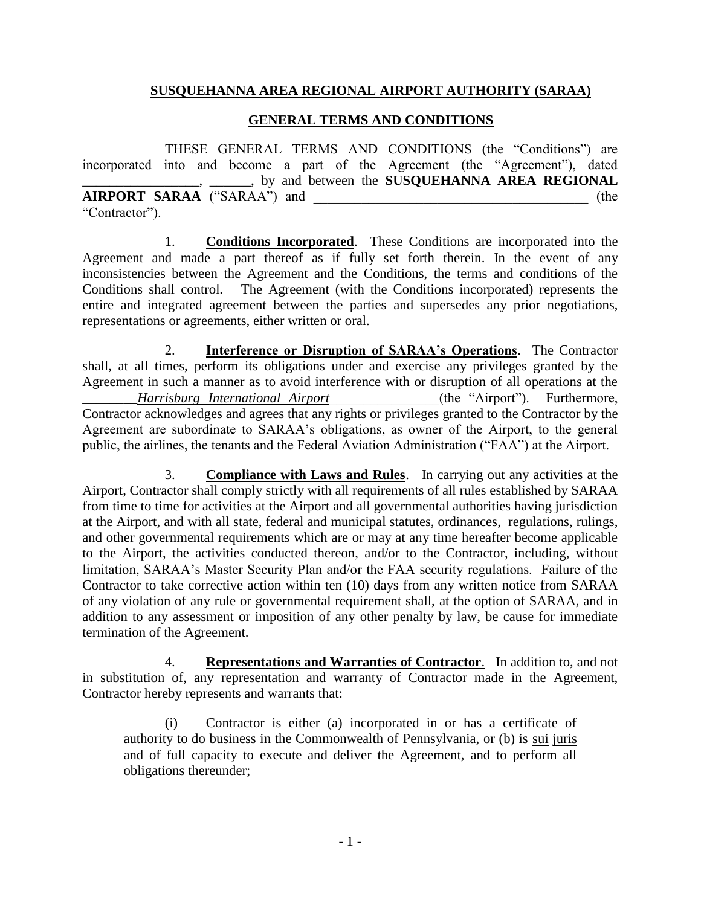## **SUSQUEHANNA AREA REGIONAL AIRPORT AUTHORITY (SARAA)**

## **GENERAL TERMS AND CONDITIONS**

THESE GENERAL TERMS AND CONDITIONS (the "Conditions") are incorporated into and become a part of the Agreement (the "Agreement"), dated \_\_\_\_\_\_\_\_\_\_\_\_\_\_\_\_\_, \_\_\_\_\_\_, by and between the **SUSQUEHANNA AREA REGIONAL AIRPORT SARAA** ("SARAA") and \_\_\_\_\_\_\_\_\_\_\_\_\_\_\_\_\_\_\_\_\_\_\_\_\_\_\_\_\_\_\_\_\_\_\_\_\_\_\_\_ (the "Contractor").

1. **Conditions Incorporated**. These Conditions are incorporated into the Agreement and made a part thereof as if fully set forth therein. In the event of any inconsistencies between the Agreement and the Conditions, the terms and conditions of the Conditions shall control. The Agreement (with the Conditions incorporated) represents the entire and integrated agreement between the parties and supersedes any prior negotiations, representations or agreements, either written or oral.

2. **Interference or Disruption of SARAA's Operations**. The Contractor shall, at all times, perform its obligations under and exercise any privileges granted by the Agreement in such a manner as to avoid interference with or disruption of all operations at the \_\_\_\_\_\_\_\_*Harrisburg International Airport*\_\_\_\_\_\_\_\_\_\_\_\_\_\_\_\_(the "Airport"). Furthermore, Contractor acknowledges and agrees that any rights or privileges granted to the Contractor by the Agreement are subordinate to SARAA's obligations, as owner of the Airport, to the general public, the airlines, the tenants and the Federal Aviation Administration ("FAA") at the Airport.

3. **Compliance with Laws and Rules**. In carrying out any activities at the Airport, Contractor shall comply strictly with all requirements of all rules established by SARAA from time to time for activities at the Airport and all governmental authorities having jurisdiction at the Airport, and with all state, federal and municipal statutes, ordinances, regulations, rulings, and other governmental requirements which are or may at any time hereafter become applicable to the Airport, the activities conducted thereon, and/or to the Contractor, including, without limitation, SARAA's Master Security Plan and/or the FAA security regulations. Failure of the Contractor to take corrective action within ten (10) days from any written notice from SARAA of any violation of any rule or governmental requirement shall, at the option of SARAA, and in addition to any assessment or imposition of any other penalty by law, be cause for immediate termination of the Agreement.

4. **Representations and Warranties of Contractor**. In addition to, and not in substitution of, any representation and warranty of Contractor made in the Agreement, Contractor hereby represents and warrants that:

(i) Contractor is either (a) incorporated in or has a certificate of authority to do business in the Commonwealth of Pennsylvania, or (b) is sui juris and of full capacity to execute and deliver the Agreement, and to perform all obligations thereunder;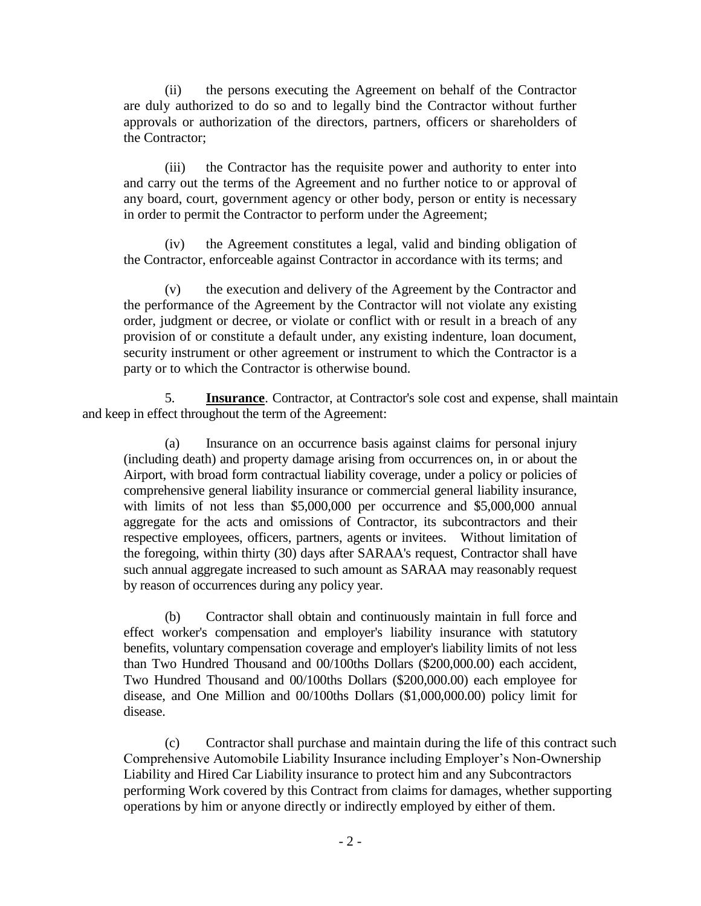(ii) the persons executing the Agreement on behalf of the Contractor are duly authorized to do so and to legally bind the Contractor without further approvals or authorization of the directors, partners, officers or shareholders of the Contractor;

(iii) the Contractor has the requisite power and authority to enter into and carry out the terms of the Agreement and no further notice to or approval of any board, court, government agency or other body, person or entity is necessary in order to permit the Contractor to perform under the Agreement;

(iv) the Agreement constitutes a legal, valid and binding obligation of the Contractor, enforceable against Contractor in accordance with its terms; and

(v) the execution and delivery of the Agreement by the Contractor and the performance of the Agreement by the Contractor will not violate any existing order, judgment or decree, or violate or conflict with or result in a breach of any provision of or constitute a default under, any existing indenture, loan document, security instrument or other agreement or instrument to which the Contractor is a party or to which the Contractor is otherwise bound.

5. **Insurance**. Contractor, at Contractor's sole cost and expense, shall maintain and keep in effect throughout the term of the Agreement:

(a) Insurance on an occurrence basis against claims for personal injury (including death) and property damage arising from occurrences on, in or about the Airport, with broad form contractual liability coverage, under a policy or policies of comprehensive general liability insurance or commercial general liability insurance, with limits of not less than \$5,000,000 per occurrence and \$5,000,000 annual aggregate for the acts and omissions of Contractor, its subcontractors and their respective employees, officers, partners, agents or invitees. Without limitation of the foregoing, within thirty (30) days after SARAA's request, Contractor shall have such annual aggregate increased to such amount as SARAA may reasonably request by reason of occurrences during any policy year.

(b) Contractor shall obtain and continuously maintain in full force and effect worker's compensation and employer's liability insurance with statutory benefits, voluntary compensation coverage and employer's liability limits of not less than Two Hundred Thousand and 00/100ths Dollars (\$200,000.00) each accident, Two Hundred Thousand and 00/100ths Dollars (\$200,000.00) each employee for disease, and One Million and 00/100ths Dollars (\$1,000,000.00) policy limit for disease.

(c) Contractor shall purchase and maintain during the life of this contract such Comprehensive Automobile Liability Insurance including Employer's Non-Ownership Liability and Hired Car Liability insurance to protect him and any Subcontractors performing Work covered by this Contract from claims for damages, whether supporting operations by him or anyone directly or indirectly employed by either of them.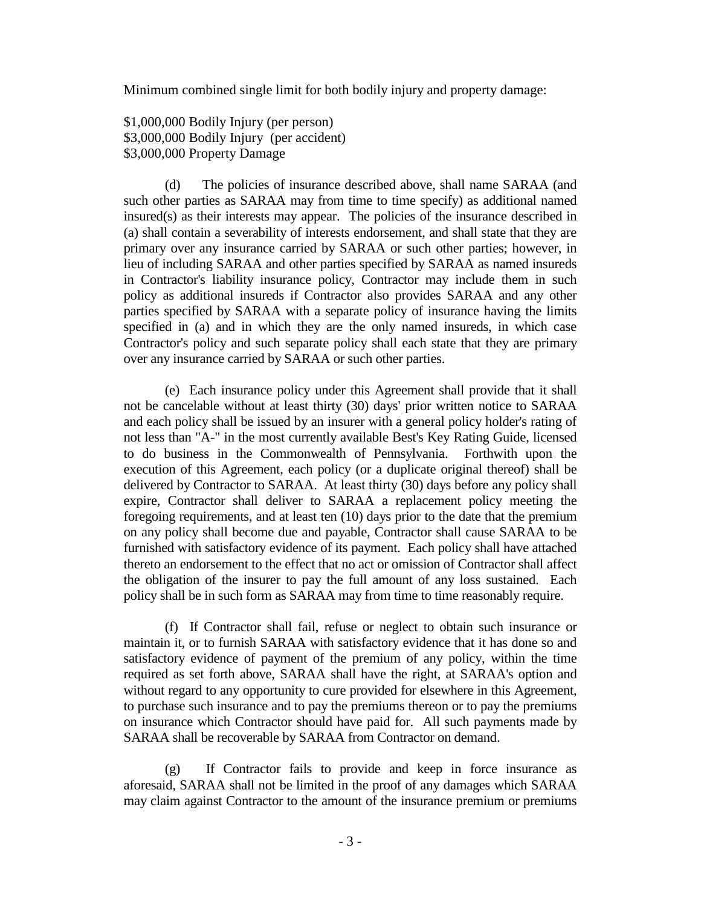Minimum combined single limit for both bodily injury and property damage:

\$1,000,000 Bodily Injury (per person) \$3,000,000 Bodily Injury (per accident) \$3,000,000 Property Damage

(d) The policies of insurance described above, shall name SARAA (and such other parties as SARAA may from time to time specify) as additional named insured(s) as their interests may appear. The policies of the insurance described in (a) shall contain a severability of interests endorsement, and shall state that they are primary over any insurance carried by SARAA or such other parties; however, in lieu of including SARAA and other parties specified by SARAA as named insureds in Contractor's liability insurance policy, Contractor may include them in such policy as additional insureds if Contractor also provides SARAA and any other parties specified by SARAA with a separate policy of insurance having the limits specified in (a) and in which they are the only named insureds, in which case Contractor's policy and such separate policy shall each state that they are primary over any insurance carried by SARAA or such other parties.

(e) Each insurance policy under this Agreement shall provide that it shall not be cancelable without at least thirty (30) days' prior written notice to SARAA and each policy shall be issued by an insurer with a general policy holder's rating of not less than "A-" in the most currently available Best's Key Rating Guide, licensed to do business in the Commonwealth of Pennsylvania. Forthwith upon the execution of this Agreement, each policy (or a duplicate original thereof) shall be delivered by Contractor to SARAA. At least thirty (30) days before any policy shall expire, Contractor shall deliver to SARAA a replacement policy meeting the foregoing requirements, and at least ten (10) days prior to the date that the premium on any policy shall become due and payable, Contractor shall cause SARAA to be furnished with satisfactory evidence of its payment. Each policy shall have attached thereto an endorsement to the effect that no act or omission of Contractor shall affect the obligation of the insurer to pay the full amount of any loss sustained. Each policy shall be in such form as SARAA may from time to time reasonably require.

(f) If Contractor shall fail, refuse or neglect to obtain such insurance or maintain it, or to furnish SARAA with satisfactory evidence that it has done so and satisfactory evidence of payment of the premium of any policy, within the time required as set forth above, SARAA shall have the right, at SARAA's option and without regard to any opportunity to cure provided for elsewhere in this Agreement, to purchase such insurance and to pay the premiums thereon or to pay the premiums on insurance which Contractor should have paid for. All such payments made by SARAA shall be recoverable by SARAA from Contractor on demand.

(g) If Contractor fails to provide and keep in force insurance as aforesaid, SARAA shall not be limited in the proof of any damages which SARAA may claim against Contractor to the amount of the insurance premium or premiums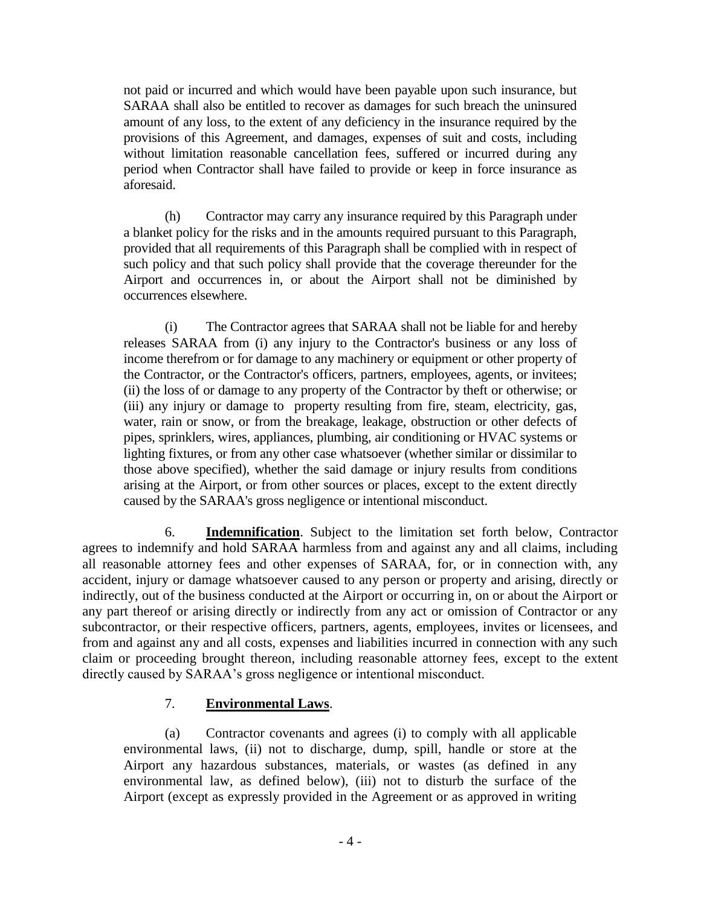not paid or incurred and which would have been payable upon such insurance, but SARAA shall also be entitled to recover as damages for such breach the uninsured amount of any loss, to the extent of any deficiency in the insurance required by the provisions of this Agreement, and damages, expenses of suit and costs, including without limitation reasonable cancellation fees, suffered or incurred during any period when Contractor shall have failed to provide or keep in force insurance as aforesaid.

(h) Contractor may carry any insurance required by this Paragraph under a blanket policy for the risks and in the amounts required pursuant to this Paragraph, provided that all requirements of this Paragraph shall be complied with in respect of such policy and that such policy shall provide that the coverage thereunder for the Airport and occurrences in, or about the Airport shall not be diminished by occurrences elsewhere.

(i) The Contractor agrees that SARAA shall not be liable for and hereby releases SARAA from (i) any injury to the Contractor's business or any loss of income therefrom or for damage to any machinery or equipment or other property of the Contractor, or the Contractor's officers, partners, employees, agents, or invitees; (ii) the loss of or damage to any property of the Contractor by theft or otherwise; or (iii) any injury or damage to property resulting from fire, steam, electricity, gas, water, rain or snow, or from the breakage, leakage, obstruction or other defects of pipes, sprinklers, wires, appliances, plumbing, air conditioning or HVAC systems or lighting fixtures, or from any other case whatsoever (whether similar or dissimilar to those above specified), whether the said damage or injury results from conditions arising at the Airport, or from other sources or places, except to the extent directly caused by the SARAA's gross negligence or intentional misconduct.

6. **Indemnification**. Subject to the limitation set forth below, Contractor agrees to indemnify and hold SARAA harmless from and against any and all claims, including all reasonable attorney fees and other expenses of SARAA, for, or in connection with, any accident, injury or damage whatsoever caused to any person or property and arising, directly or indirectly, out of the business conducted at the Airport or occurring in, on or about the Airport or any part thereof or arising directly or indirectly from any act or omission of Contractor or any subcontractor, or their respective officers, partners, agents, employees, invites or licensees, and from and against any and all costs, expenses and liabilities incurred in connection with any such claim or proceeding brought thereon, including reasonable attorney fees, except to the extent directly caused by SARAA's gross negligence or intentional misconduct.

# 7. **Environmental Laws**.

(a) Contractor covenants and agrees (i) to comply with all applicable environmental laws, (ii) not to discharge, dump, spill, handle or store at the Airport any hazardous substances, materials, or wastes (as defined in any environmental law, as defined below), (iii) not to disturb the surface of the Airport (except as expressly provided in the Agreement or as approved in writing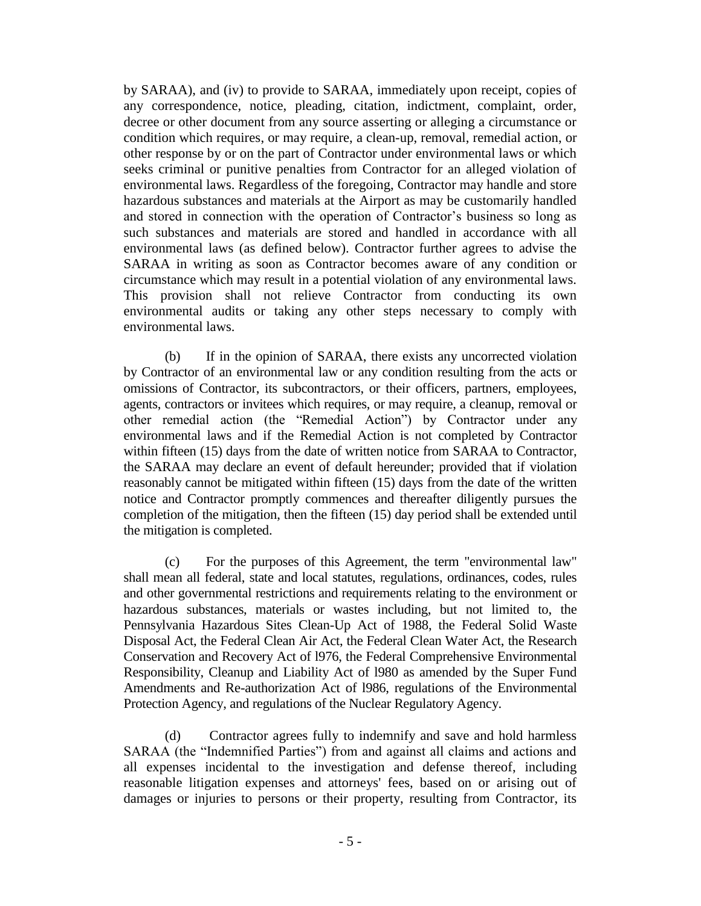by SARAA), and (iv) to provide to SARAA, immediately upon receipt, copies of any correspondence, notice, pleading, citation, indictment, complaint, order, decree or other document from any source asserting or alleging a circumstance or condition which requires, or may require, a clean-up, removal, remedial action, or other response by or on the part of Contractor under environmental laws or which seeks criminal or punitive penalties from Contractor for an alleged violation of environmental laws. Regardless of the foregoing, Contractor may handle and store hazardous substances and materials at the Airport as may be customarily handled and stored in connection with the operation of Contractor's business so long as such substances and materials are stored and handled in accordance with all environmental laws (as defined below). Contractor further agrees to advise the SARAA in writing as soon as Contractor becomes aware of any condition or circumstance which may result in a potential violation of any environmental laws. This provision shall not relieve Contractor from conducting its own environmental audits or taking any other steps necessary to comply with environmental laws.

(b) If in the opinion of SARAA, there exists any uncorrected violation by Contractor of an environmental law or any condition resulting from the acts or omissions of Contractor, its subcontractors, or their officers, partners, employees, agents, contractors or invitees which requires, or may require, a cleanup, removal or other remedial action (the "Remedial Action") by Contractor under any environmental laws and if the Remedial Action is not completed by Contractor within fifteen (15) days from the date of written notice from SARAA to Contractor, the SARAA may declare an event of default hereunder; provided that if violation reasonably cannot be mitigated within fifteen (15) days from the date of the written notice and Contractor promptly commences and thereafter diligently pursues the completion of the mitigation, then the fifteen (15) day period shall be extended until the mitigation is completed.

(c) For the purposes of this Agreement, the term "environmental law" shall mean all federal, state and local statutes, regulations, ordinances, codes, rules and other governmental restrictions and requirements relating to the environment or hazardous substances, materials or wastes including, but not limited to, the Pennsylvania Hazardous Sites Clean-Up Act of 1988, the Federal Solid Waste Disposal Act, the Federal Clean Air Act, the Federal Clean Water Act, the Research Conservation and Recovery Act of l976, the Federal Comprehensive Environmental Responsibility, Cleanup and Liability Act of l980 as amended by the Super Fund Amendments and Re-authorization Act of l986, regulations of the Environmental Protection Agency, and regulations of the Nuclear Regulatory Agency.

(d) Contractor agrees fully to indemnify and save and hold harmless SARAA (the "Indemnified Parties") from and against all claims and actions and all expenses incidental to the investigation and defense thereof, including reasonable litigation expenses and attorneys' fees, based on or arising out of damages or injuries to persons or their property, resulting from Contractor, its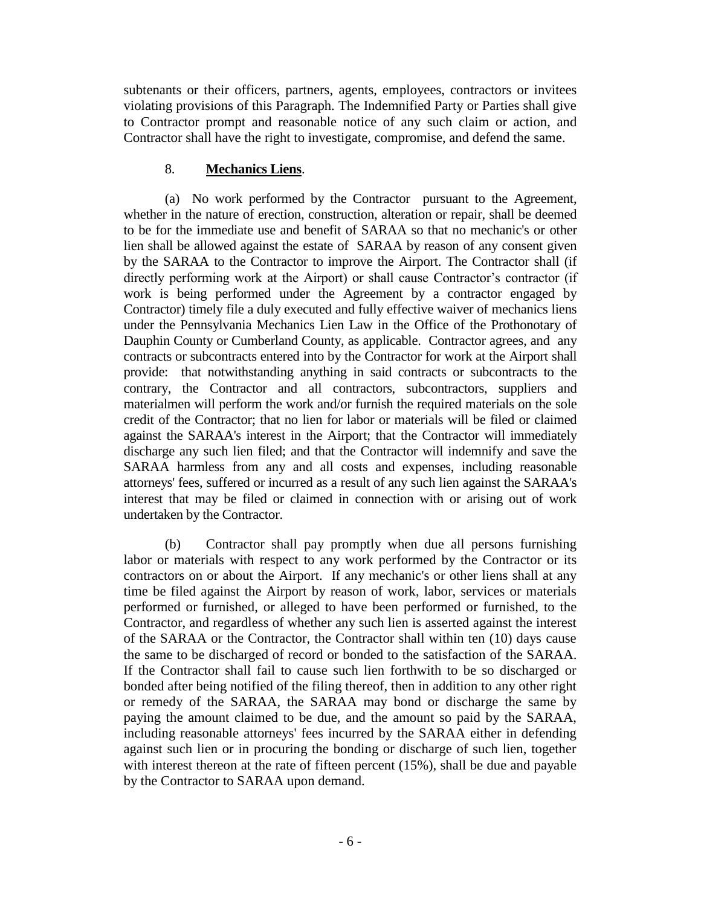subtenants or their officers, partners, agents, employees, contractors or invitees violating provisions of this Paragraph. The Indemnified Party or Parties shall give to Contractor prompt and reasonable notice of any such claim or action, and Contractor shall have the right to investigate, compromise, and defend the same.

#### 8. **Mechanics Liens**.

(a) No work performed by the Contractor pursuant to the Agreement, whether in the nature of erection, construction, alteration or repair, shall be deemed to be for the immediate use and benefit of SARAA so that no mechanic's or other lien shall be allowed against the estate of SARAA by reason of any consent given by the SARAA to the Contractor to improve the Airport. The Contractor shall (if directly performing work at the Airport) or shall cause Contractor's contractor (if work is being performed under the Agreement by a contractor engaged by Contractor) timely file a duly executed and fully effective waiver of mechanics liens under the Pennsylvania Mechanics Lien Law in the Office of the Prothonotary of Dauphin County or Cumberland County, as applicable. Contractor agrees, and any contracts or subcontracts entered into by the Contractor for work at the Airport shall provide: that notwithstanding anything in said contracts or subcontracts to the contrary, the Contractor and all contractors, subcontractors, suppliers and materialmen will perform the work and/or furnish the required materials on the sole credit of the Contractor; that no lien for labor or materials will be filed or claimed against the SARAA's interest in the Airport; that the Contractor will immediately discharge any such lien filed; and that the Contractor will indemnify and save the SARAA harmless from any and all costs and expenses, including reasonable attorneys' fees, suffered or incurred as a result of any such lien against the SARAA's interest that may be filed or claimed in connection with or arising out of work undertaken by the Contractor.

(b) Contractor shall pay promptly when due all persons furnishing labor or materials with respect to any work performed by the Contractor or its contractors on or about the Airport. If any mechanic's or other liens shall at any time be filed against the Airport by reason of work, labor, services or materials performed or furnished, or alleged to have been performed or furnished, to the Contractor, and regardless of whether any such lien is asserted against the interest of the SARAA or the Contractor, the Contractor shall within ten (10) days cause the same to be discharged of record or bonded to the satisfaction of the SARAA. If the Contractor shall fail to cause such lien forthwith to be so discharged or bonded after being notified of the filing thereof, then in addition to any other right or remedy of the SARAA, the SARAA may bond or discharge the same by paying the amount claimed to be due, and the amount so paid by the SARAA, including reasonable attorneys' fees incurred by the SARAA either in defending against such lien or in procuring the bonding or discharge of such lien, together with interest thereon at the rate of fifteen percent (15%), shall be due and payable by the Contractor to SARAA upon demand.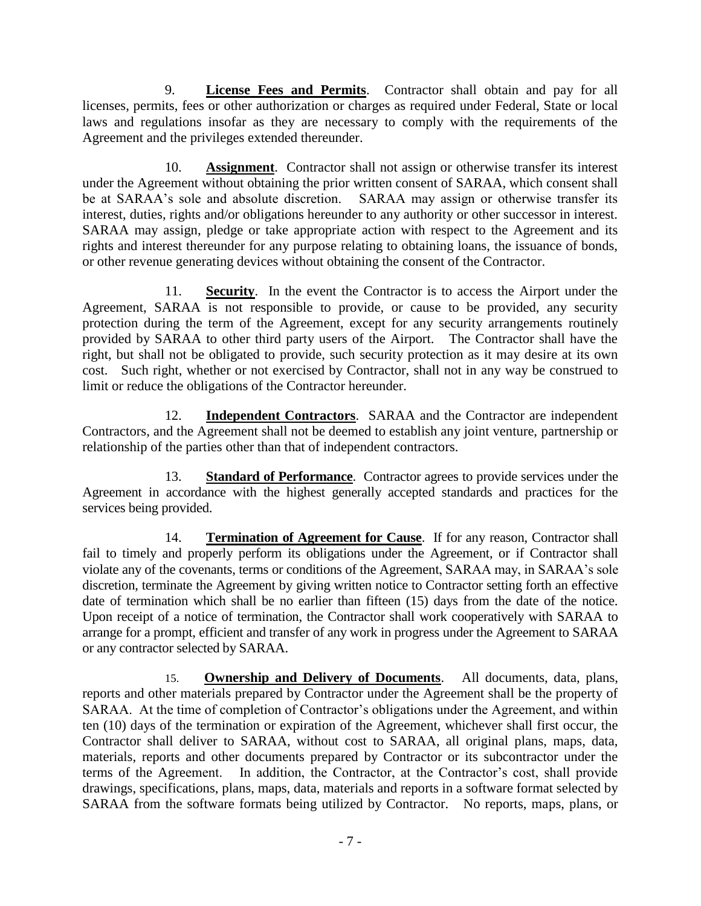9. **License Fees and Permits**. Contractor shall obtain and pay for all licenses, permits, fees or other authorization or charges as required under Federal, State or local laws and regulations insofar as they are necessary to comply with the requirements of the Agreement and the privileges extended thereunder.

10. **Assignment**. Contractor shall not assign or otherwise transfer its interest under the Agreement without obtaining the prior written consent of SARAA, which consent shall be at SARAA's sole and absolute discretion. SARAA may assign or otherwise transfer its interest, duties, rights and/or obligations hereunder to any authority or other successor in interest. SARAA may assign, pledge or take appropriate action with respect to the Agreement and its rights and interest thereunder for any purpose relating to obtaining loans, the issuance of bonds, or other revenue generating devices without obtaining the consent of the Contractor.

11. **Security**. In the event the Contractor is to access the Airport under the Agreement, SARAA is not responsible to provide, or cause to be provided, any security protection during the term of the Agreement, except for any security arrangements routinely provided by SARAA to other third party users of the Airport. The Contractor shall have the right, but shall not be obligated to provide, such security protection as it may desire at its own cost. Such right, whether or not exercised by Contractor, shall not in any way be construed to limit or reduce the obligations of the Contractor hereunder.

12. **Independent Contractors**. SARAA and the Contractor are independent Contractors, and the Agreement shall not be deemed to establish any joint venture, partnership or relationship of the parties other than that of independent contractors.

13. **Standard of Performance**. Contractor agrees to provide services under the Agreement in accordance with the highest generally accepted standards and practices for the services being provided.

14. **Termination of Agreement for Cause**. If for any reason, Contractor shall fail to timely and properly perform its obligations under the Agreement, or if Contractor shall violate any of the covenants, terms or conditions of the Agreement, SARAA may, in SARAA's sole discretion, terminate the Agreement by giving written notice to Contractor setting forth an effective date of termination which shall be no earlier than fifteen (15) days from the date of the notice. Upon receipt of a notice of termination, the Contractor shall work cooperatively with SARAA to arrange for a prompt, efficient and transfer of any work in progress under the Agreement to SARAA or any contractor selected by SARAA.

15. **Ownership and Delivery of Documents**. All documents, data, plans, reports and other materials prepared by Contractor under the Agreement shall be the property of SARAA. At the time of completion of Contractor's obligations under the Agreement, and within ten (10) days of the termination or expiration of the Agreement, whichever shall first occur, the Contractor shall deliver to SARAA, without cost to SARAA, all original plans, maps, data, materials, reports and other documents prepared by Contractor or its subcontractor under the terms of the Agreement. In addition, the Contractor, at the Contractor's cost, shall provide drawings, specifications, plans, maps, data, materials and reports in a software format selected by SARAA from the software formats being utilized by Contractor. No reports, maps, plans, or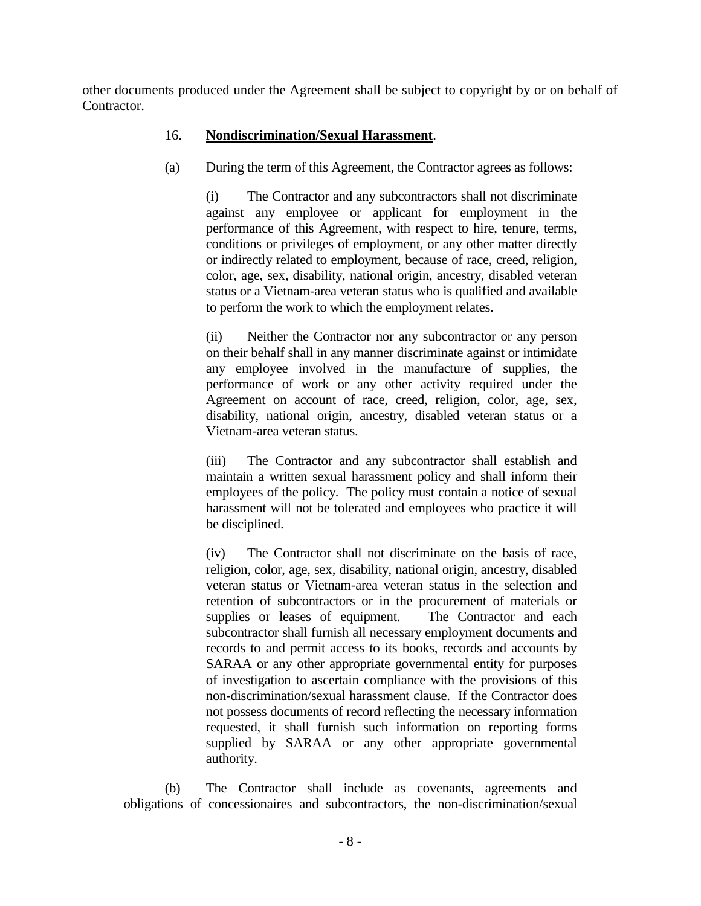other documents produced under the Agreement shall be subject to copyright by or on behalf of Contractor.

# 16. **Nondiscrimination/Sexual Harassment**.

(a) During the term of this Agreement, the Contractor agrees as follows:

(i) The Contractor and any subcontractors shall not discriminate against any employee or applicant for employment in the performance of this Agreement, with respect to hire, tenure, terms, conditions or privileges of employment, or any other matter directly or indirectly related to employment, because of race, creed, religion, color, age, sex, disability, national origin, ancestry, disabled veteran status or a Vietnam-area veteran status who is qualified and available to perform the work to which the employment relates.

(ii) Neither the Contractor nor any subcontractor or any person on their behalf shall in any manner discriminate against or intimidate any employee involved in the manufacture of supplies, the performance of work or any other activity required under the Agreement on account of race, creed, religion, color, age, sex, disability, national origin, ancestry, disabled veteran status or a Vietnam-area veteran status.

(iii) The Contractor and any subcontractor shall establish and maintain a written sexual harassment policy and shall inform their employees of the policy. The policy must contain a notice of sexual harassment will not be tolerated and employees who practice it will be disciplined.

(iv) The Contractor shall not discriminate on the basis of race, religion, color, age, sex, disability, national origin, ancestry, disabled veteran status or Vietnam-area veteran status in the selection and retention of subcontractors or in the procurement of materials or supplies or leases of equipment. The Contractor and each subcontractor shall furnish all necessary employment documents and records to and permit access to its books, records and accounts by SARAA or any other appropriate governmental entity for purposes of investigation to ascertain compliance with the provisions of this non-discrimination/sexual harassment clause. If the Contractor does not possess documents of record reflecting the necessary information requested, it shall furnish such information on reporting forms supplied by SARAA or any other appropriate governmental authority.

(b) The Contractor shall include as covenants, agreements and obligations of concessionaires and subcontractors, the non-discrimination/sexual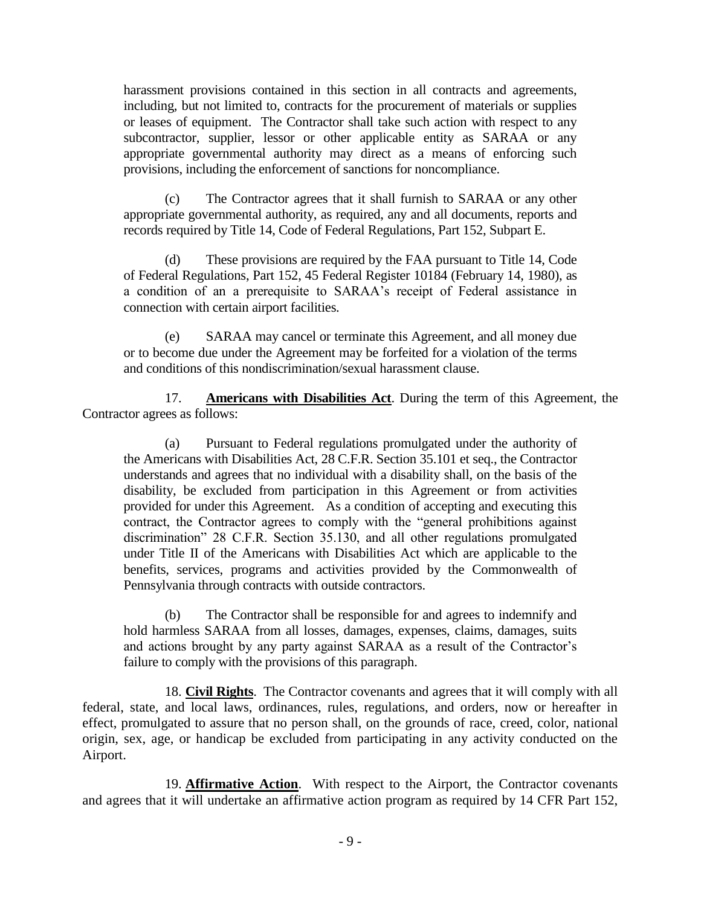harassment provisions contained in this section in all contracts and agreements, including, but not limited to, contracts for the procurement of materials or supplies or leases of equipment. The Contractor shall take such action with respect to any subcontractor, supplier, lessor or other applicable entity as SARAA or any appropriate governmental authority may direct as a means of enforcing such provisions, including the enforcement of sanctions for noncompliance.

(c) The Contractor agrees that it shall furnish to SARAA or any other appropriate governmental authority, as required, any and all documents, reports and records required by Title 14, Code of Federal Regulations, Part 152, Subpart E.

(d) These provisions are required by the FAA pursuant to Title 14, Code of Federal Regulations, Part 152, 45 Federal Register 10184 (February 14, 1980), as a condition of an a prerequisite to SARAA's receipt of Federal assistance in connection with certain airport facilities.

(e) SARAA may cancel or terminate this Agreement, and all money due or to become due under the Agreement may be forfeited for a violation of the terms and conditions of this nondiscrimination/sexual harassment clause.

17. **Americans with Disabilities Act**. During the term of this Agreement, the Contractor agrees as follows:

(a) Pursuant to Federal regulations promulgated under the authority of the Americans with Disabilities Act, 28 C.F.R. Section 35.101 et seq., the Contractor understands and agrees that no individual with a disability shall, on the basis of the disability, be excluded from participation in this Agreement or from activities provided for under this Agreement. As a condition of accepting and executing this contract, the Contractor agrees to comply with the "general prohibitions against discrimination" 28 C.F.R. Section 35.130, and all other regulations promulgated under Title II of the Americans with Disabilities Act which are applicable to the benefits, services, programs and activities provided by the Commonwealth of Pennsylvania through contracts with outside contractors.

(b) The Contractor shall be responsible for and agrees to indemnify and hold harmless SARAA from all losses, damages, expenses, claims, damages, suits and actions brought by any party against SARAA as a result of the Contractor's failure to comply with the provisions of this paragraph.

18. **Civil Rights**. The Contractor covenants and agrees that it will comply with all federal, state, and local laws, ordinances, rules, regulations, and orders, now or hereafter in effect, promulgated to assure that no person shall, on the grounds of race, creed, color, national origin, sex, age, or handicap be excluded from participating in any activity conducted on the Airport.

19. **Affirmative Action**. With respect to the Airport, the Contractor covenants and agrees that it will undertake an affirmative action program as required by 14 CFR Part 152,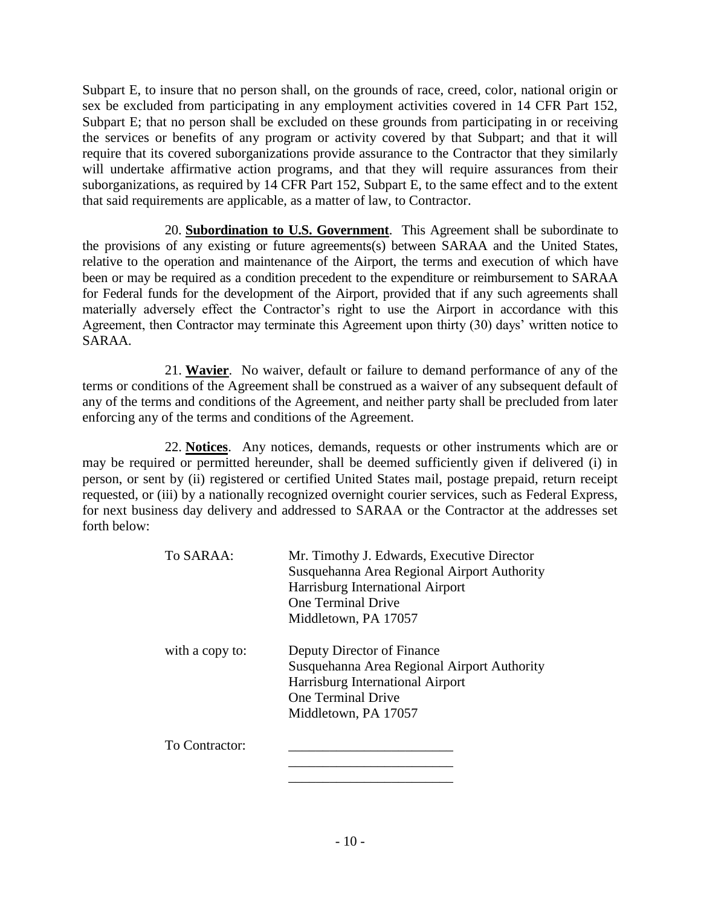Subpart E, to insure that no person shall, on the grounds of race, creed, color, national origin or sex be excluded from participating in any employment activities covered in 14 CFR Part 152, Subpart E; that no person shall be excluded on these grounds from participating in or receiving the services or benefits of any program or activity covered by that Subpart; and that it will require that its covered suborganizations provide assurance to the Contractor that they similarly will undertake affirmative action programs, and that they will require assurances from their suborganizations, as required by 14 CFR Part 152, Subpart E, to the same effect and to the extent that said requirements are applicable, as a matter of law, to Contractor.

20. **Subordination to U.S. Government**. This Agreement shall be subordinate to the provisions of any existing or future agreements(s) between SARAA and the United States, relative to the operation and maintenance of the Airport, the terms and execution of which have been or may be required as a condition precedent to the expenditure or reimbursement to SARAA for Federal funds for the development of the Airport, provided that if any such agreements shall materially adversely effect the Contractor's right to use the Airport in accordance with this Agreement, then Contractor may terminate this Agreement upon thirty (30) days' written notice to SARAA.

21. **Wavier**. No waiver, default or failure to demand performance of any of the terms or conditions of the Agreement shall be construed as a waiver of any subsequent default of any of the terms and conditions of the Agreement, and neither party shall be precluded from later enforcing any of the terms and conditions of the Agreement.

22. **Notices**. Any notices, demands, requests or other instruments which are or may be required or permitted hereunder, shall be deemed sufficiently given if delivered (i) in person, or sent by (ii) registered or certified United States mail, postage prepaid, return receipt requested, or (iii) by a nationally recognized overnight courier services, such as Federal Express, for next business day delivery and addressed to SARAA or the Contractor at the addresses set forth below:

| To SARAA:       | Mr. Timothy J. Edwards, Executive Director  |
|-----------------|---------------------------------------------|
|                 | Susquehanna Area Regional Airport Authority |
|                 | Harrisburg International Airport            |
|                 | <b>One Terminal Drive</b>                   |
|                 | Middletown, PA 17057                        |
| with a copy to: | Deputy Director of Finance                  |
|                 | Susquehanna Area Regional Airport Authority |
|                 | Harrisburg International Airport            |
|                 | <b>One Terminal Drive</b>                   |
|                 | Middletown, PA 17057                        |
| To Contractor:  |                                             |
|                 |                                             |
|                 |                                             |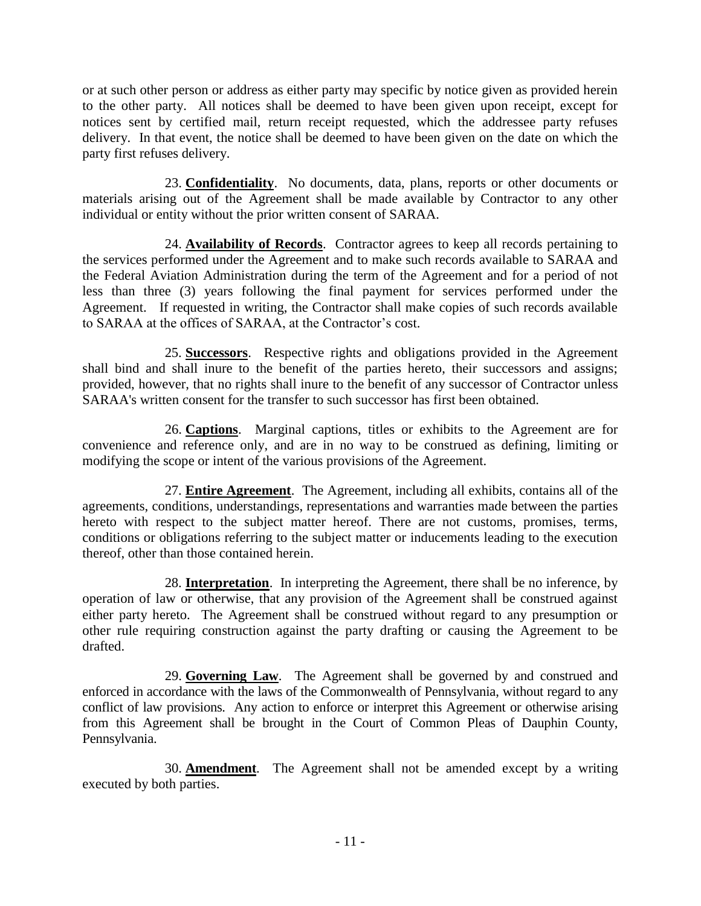or at such other person or address as either party may specific by notice given as provided herein to the other party. All notices shall be deemed to have been given upon receipt, except for notices sent by certified mail, return receipt requested, which the addressee party refuses delivery. In that event, the notice shall be deemed to have been given on the date on which the party first refuses delivery.

23. **Confidentiality**. No documents, data, plans, reports or other documents or materials arising out of the Agreement shall be made available by Contractor to any other individual or entity without the prior written consent of SARAA.

24. **Availability of Records**. Contractor agrees to keep all records pertaining to the services performed under the Agreement and to make such records available to SARAA and the Federal Aviation Administration during the term of the Agreement and for a period of not less than three (3) years following the final payment for services performed under the Agreement. If requested in writing, the Contractor shall make copies of such records available to SARAA at the offices of SARAA, at the Contractor's cost.

25. **Successors**. Respective rights and obligations provided in the Agreement shall bind and shall inure to the benefit of the parties hereto, their successors and assigns; provided, however, that no rights shall inure to the benefit of any successor of Contractor unless SARAA's written consent for the transfer to such successor has first been obtained.

26. **Captions**. Marginal captions, titles or exhibits to the Agreement are for convenience and reference only, and are in no way to be construed as defining, limiting or modifying the scope or intent of the various provisions of the Agreement.

27. **Entire Agreement**. The Agreement, including all exhibits, contains all of the agreements, conditions, understandings, representations and warranties made between the parties hereto with respect to the subject matter hereof. There are not customs, promises, terms, conditions or obligations referring to the subject matter or inducements leading to the execution thereof, other than those contained herein.

28. **Interpretation**. In interpreting the Agreement, there shall be no inference, by operation of law or otherwise, that any provision of the Agreement shall be construed against either party hereto. The Agreement shall be construed without regard to any presumption or other rule requiring construction against the party drafting or causing the Agreement to be drafted.

29. **Governing Law**. The Agreement shall be governed by and construed and enforced in accordance with the laws of the Commonwealth of Pennsylvania, without regard to any conflict of law provisions. Any action to enforce or interpret this Agreement or otherwise arising from this Agreement shall be brought in the Court of Common Pleas of Dauphin County, Pennsylvania.

30. **Amendment**. The Agreement shall not be amended except by a writing executed by both parties.